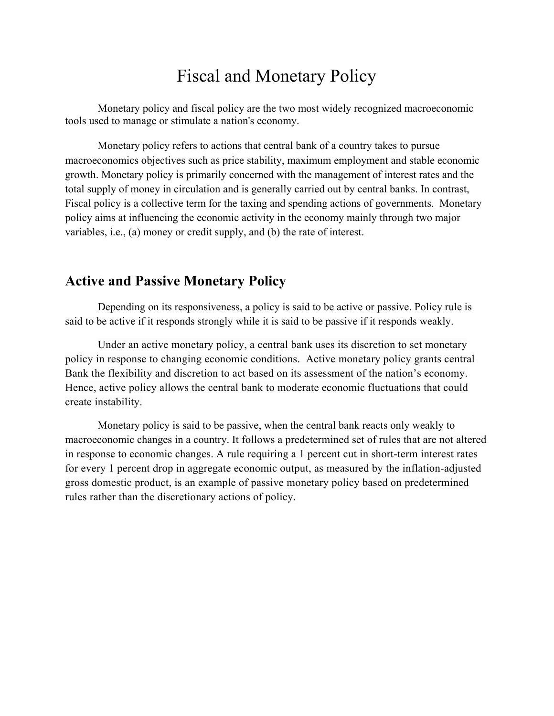# Fiscal and Monetary Policy

Monetary policy and fiscal policy are the two most widely recognized macroeconomic tools used to manage or stimulate a nation's economy.

Monetary policy refers to actions that central bank of a country takes to pursue macroeconomics objectives such as price stability, maximum employment and stable economic growth. Monetary policy is primarily concerned with the management of interest rates and the total supply of money in circulation and is generally carried out by central banks. In contrast, Fiscal policy is a collective term for the taxing and spending actions of governments. Monetary policy aims at influencing the economic activity in the economy mainly through two major variables, i.e., (a) money or credit supply, and (b) the rate of interest.

# **Active and Passive Monetary Policy**

Depending on its responsiveness, a policy is said to be active or passive. Policy rule is said to be active if it responds strongly while it is said to be passive if it responds weakly.

Under an active monetary policy, a central bank uses its discretion to set monetary policy in response to changing economic conditions. Active monetary policy grants central Bank the flexibility and discretion to act based on its assessment of the nation's economy. Hence, active policy allows the central bank to moderate economic fluctuations that could create instability.

Monetary policy is said to be passive, when the central bank reacts only weakly to macroeconomic changes in a country. It follows a predetermined set of rules that are not altered in response to economic changes. A rule requiring a 1 percent cut in short-term interest rates for every 1 percent drop in aggregate economic output, as measured by the inflation-adjusted gross domestic product, is an example of passive monetary policy based on predetermined rules rather than the discretionary actions of policy.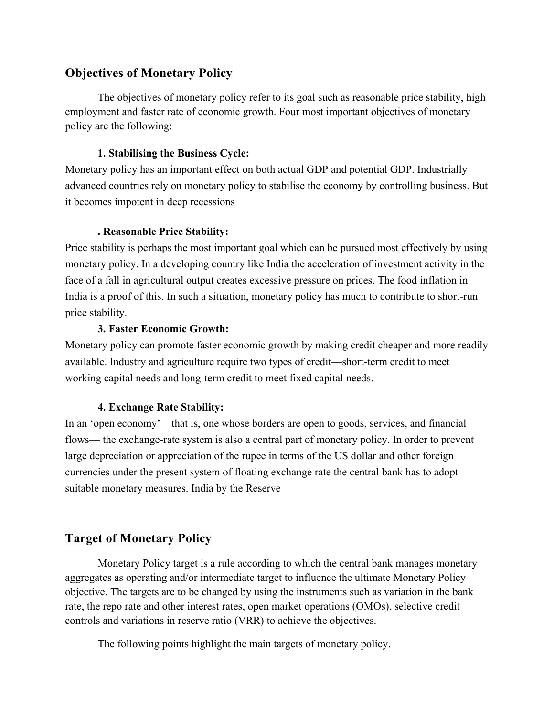## **Objectives of Monetary Policy**

The objectives of monetary policy refer to its goal such as reasonable price stability, high employment and faster rate of economic growth. Four most important objectives of monetary policy are the following:

#### **1. Stabilising the Business Cycle:**

Monetary policy has an important effect on both actual GDP and potential GDP. Industrially advanced countries rely on monetary policy to stabilise the economy by controlling business. But it becomes impotent in deep recessions

### **. Reasonable Price Stability:**

Price stability is perhaps the most important goal which can be pursued most effectively by using monetary policy. In a developing country like India the acceleration of investment activity in the face of a fall in agricultural output creates excessive pressure on prices. The food inflation in India is a proof of this. In such a situation, monetary policy has much to contribute to short-run price stability.

#### **3. Faster Economic Growth:**

Monetary policy can promote faster economic growth by making credit cheaper and more readily available. Industry and agriculture require two types of credit—short-term credit to meet working capital needs and long-term credit to meet fixed capital needs.

### **4. Exchange Rate Stability:**

In an 'open economy'—that is, one whose borders are open to goods, services, and financial flows— the exchange-rate system is also a central part of monetary policy. In order to prevent large depreciation or appreciation of the rupee in terms of the US dollar and other foreign currencies under the present system of floating exchange rate the central bank has to adopt suitable monetary measures. India by the Reserve

## **Target of Monetary Policy**

Monetary Policy target is a rule according to which the central bank manages monetary aggregates as operating and/or intermediate target to influence the ultimate Monetary Policy objective. The targets are to be changed by using the instruments such as variation in the bank rate, the repo rate and other interest rates, open market operations (OMOs), selective credit controls and variations in reserve ratio (VRR) to achieve the objectives.

The following points highlight the main targets of monetary policy.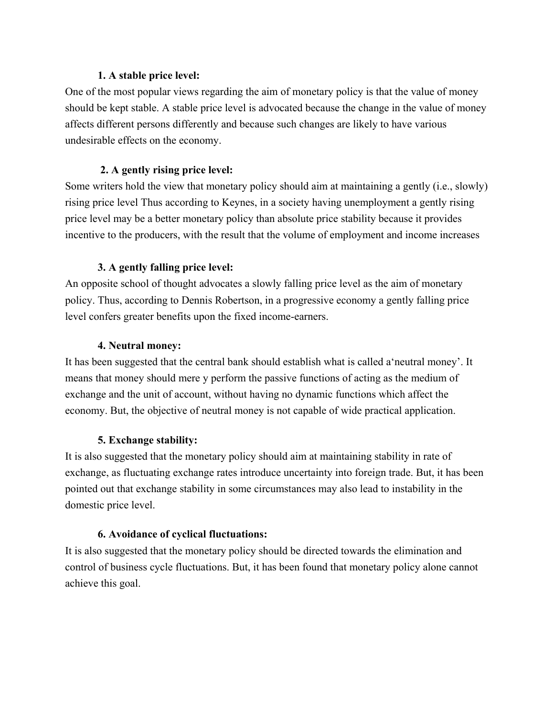#### **1. A stable price level:**

One of the most popular views regarding the aim of monetary policy is that the value of money should be kept stable. A stable price level is advocated because the change in the value of money affects different persons differently and because such changes are likely to have various undesirable effects on the economy.

## **2. A gently rising price level:**

Some writers hold the view that monetary policy should aim at maintaining a gently (i.e., slowly) rising price level Thus according to Keynes, in a society having unemployment a gently rising price level may be a better monetary policy than absolute price stability because it provides incentive to the producers, with the result that the volume of employment and income increases

## **3. A gently falling price level:**

An opposite school of thought advocates a slowly falling price level as the aim of monetary policy. Thus, according to Dennis Robertson, in a progressive economy a gently falling price level confers greater benefits upon the fixed income-earners.

### **4. Neutral money:**

It has been suggested that the central bank should establish what is called a'neutral money'. It means that money should mere y perform the passive functions of acting as the medium of exchange and the unit of account, without having no dynamic functions which affect the economy. But, the objective of neutral money is not capable of wide practical application.

### **5. Exchange stability:**

It is also suggested that the monetary policy should aim at maintaining stability in rate of exchange, as fluctuating exchange rates introduce uncertainty into foreign trade. But, it has been pointed out that exchange stability in some circumstances may also lead to instability in the domestic price level.

### **6. Avoidance of cyclical fluctuations:**

It is also suggested that the monetary policy should be directed towards the elimination and control of business cycle fluctuations. But, it has been found that monetary policy alone cannot achieve this goal.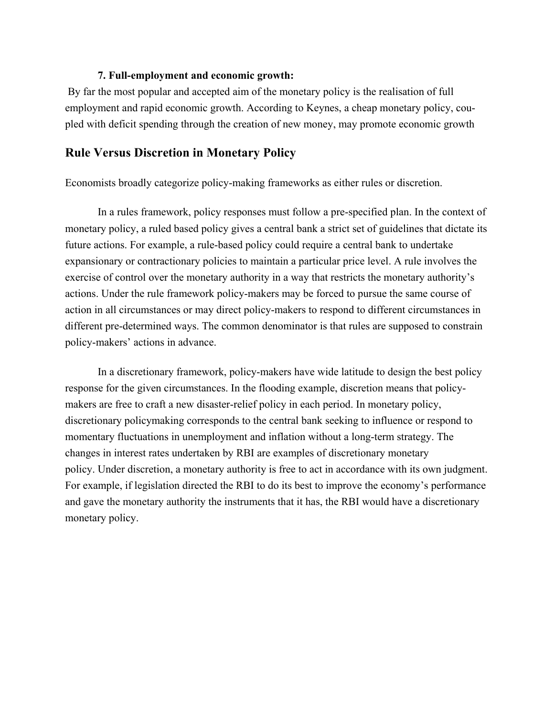#### **7. Full-employment and economic growth:**

 By far the most popular and accepted aim of the monetary policy is the realisation of full employment and rapid economic growth. According to Keynes, a cheap monetary policy, coupled with deficit spending through the creation of new money, may promote economic growth

#### **Rule Versus Discretion in Monetary Policy**

Economists broadly categorize policy-making frameworks as either rules or discretion.

In a rules framework, policy responses must follow a pre-specified plan. In the context of monetary policy, a ruled based policy gives a central bank a strict set of guidelines that dictate its future actions. For example, a rule-based policy could require a central bank to undertake expansionary or contractionary policies to maintain a particular price level. A rule involves the exercise of control over the monetary authority in a way that restricts the monetary authority's actions. Under the rule framework policy-makers may be forced to pursue the same course of action in all circumstances or may direct policy-makers to respond to different circumstances in different pre-determined ways. The common denominator is that rules are supposed to constrain policy-makers' actions in advance.

In a discretionary framework, policy-makers have wide latitude to design the best policy response for the given circumstances. In the flooding example, discretion means that policymakers are free to craft a new disaster-relief policy in each period. In monetary policy, discretionary policymaking corresponds to the central bank seeking to influence or respond to momentary fluctuations in unemployment and inflation without a long-term strategy. The changes in interest rates undertaken by RBI are examples of discretionary monetary policy. Under discretion, a monetary authority is free to act in accordance with its own judgment. For example, if legislation directed the RBI to do its best to improve the economy's performance and gave the monetary authority the instruments that it has, the RBI would have a discretionary monetary policy.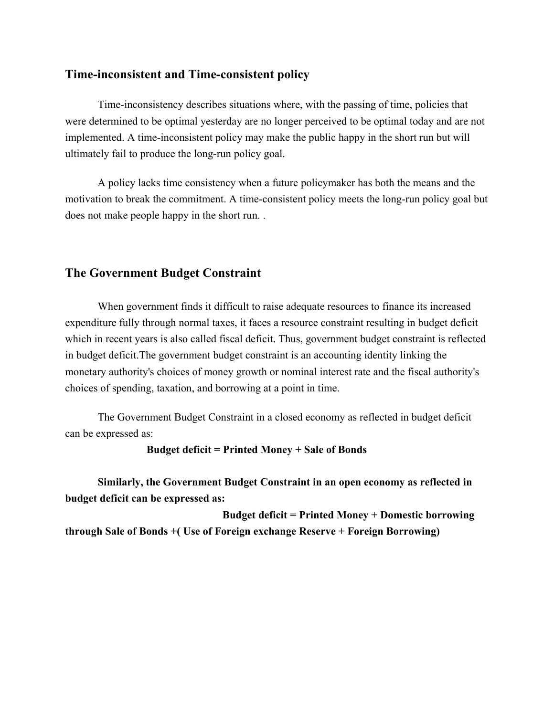### **Time-inconsistent and Time-consistent policy**

Time-inconsistency describes situations where, with the passing of time, policies that were determined to be optimal yesterday are no longer perceived to be optimal today and are not implemented. A time-inconsistent policy may make the public happy in the short run but will ultimately fail to produce the long-run policy goal.

A policy lacks time consistency when a future policymaker has both the means and the motivation to break the commitment. A time-consistent policy meets the long-run policy goal but does not make people happy in the short run. .

#### **The Government Budget Constraint**

When government finds it difficult to raise adequate resources to finance its increased expenditure fully through normal taxes, it faces a resource constraint resulting in budget deficit which in recent years is also called fiscal deficit. Thus, government budget constraint is reflected in budget deficit.The government budget constraint is an accounting identity linking the monetary authority's choices of money growth or nominal interest rate and the fiscal authority's choices of spending, taxation, and borrowing at a point in time.

The Government Budget Constraint in a closed economy as reflected in budget deficit can be expressed as:

#### **Budget deficit = Printed Money + Sale of Bonds**

**Similarly, the Government Budget Constraint in an open economy as reflected in budget deficit can be expressed as:** 

 **Budget deficit = Printed Money + Domestic borrowing through Sale of Bonds +( Use of Foreign exchange Reserve + Foreign Borrowing)**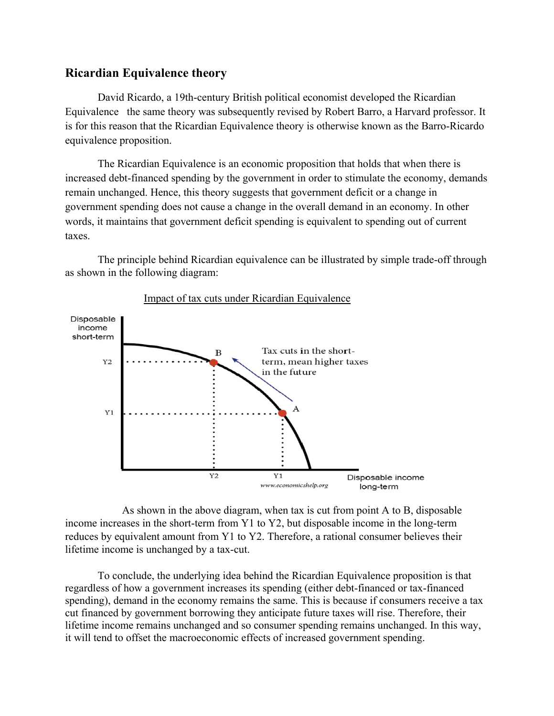#### **Ricardian Equivalence theory**

David Ricardo, a 19th-century British political economist developed the Ricardian Equivalence the same theory was subsequently revised by Robert Barro, a Harvard professor. It is for this reason that the Ricardian Equivalence theory is otherwise known as the Barro-Ricardo equivalence proposition.

The Ricardian Equivalence is an economic proposition that holds that when there is increased debt-financed spending by the government in order to stimulate the economy, demands remain unchanged. Hence, this theory suggests that government deficit or a change in government spending does not cause a change in the overall demand in an economy. In other words, it maintains that government deficit spending is equivalent to spending out of current taxes.

The principle behind Ricardian equivalence can be illustrated by simple trade-off through as shown in the following diagram:



#### Impact of tax cuts under Ricardian Equivalence

 As shown in the above diagram, when tax is cut from point A to B, disposable income increases in the short-term from Y1 to Y2, but disposable income in the long-term reduces by equivalent amount from Y1 to Y2. Therefore, a rational consumer believes their lifetime income is unchanged by a tax-cut.

To conclude, the underlying idea behind the Ricardian Equivalence proposition is that regardless of how a government increases its spending (either debt-financed or tax-financed spending), demand in the economy remains the same. This is because if consumers receive a tax cut financed by government borrowing they anticipate future taxes will rise. Therefore, their lifetime income remains unchanged and so consumer spending remains unchanged. In this way, it will tend to offset the macroeconomic effects of increased government spending.